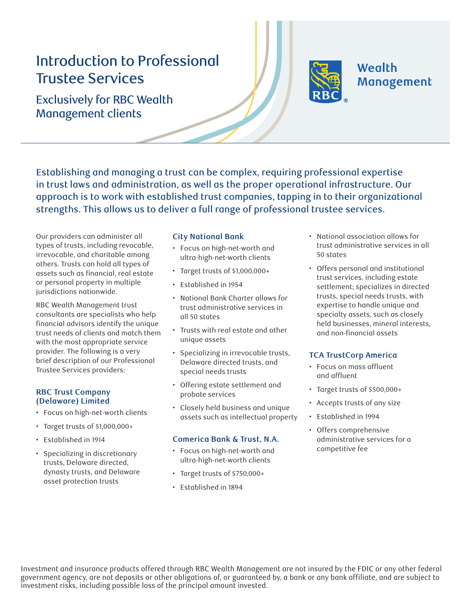# Introduction to Professional Trustee Services



## **Wealth** Management

Exclusively for RBC Wealth Management clients

Establishing and managing a trust can be complex, requiring professional expertise in trust laws and administration, as well as the proper operational infrastructure. Our approach is to work with established trust companies, tapping in to their organizational strengths. This allows us to deliver a full range of professional trustee services.

Our providers can administer all types of trusts, including revocable, irrevocable, and charitable among others. Trusts can hold all types of assets such as financial, real estate or personal property in multiple jurisdictions nationwide.

RBC Wealth Management trust consultants are specialists who help financial advisors identify the unique trust needs of clients and match them with the most appropriate service provider. The following is a very brief description of our Professional Trustee Services providers:

### **RBC Trust Company (Delaware) Limited**

- Focus on high-net-worth clients
- Target trusts of \$1,000,000+
- Established in 1914
- Specializing in discretionary trusts, Delaware directed, dynasty trusts, and Delaware asset protection trusts

#### **City National Bank**

- Focus on high-net-worth and ultra-high-net-worth clients
- Target trusts of \$1,000,000+
- Established in 1954
- National Bank Charter allows for trust administrative services in all 50 states
- Trusts with real estate and other unique assets
- Specializing in irrevocable trusts, Delaware directed trusts, and special needs trusts
- Offering estate settlement and probate services
- Closely held business and unique assets such as intellectual property

#### **Comerica Bank & Trust, N.A.**

- Focus on high-net-worth and ultra-high-net-worth clients
- Target trusts of \$750,000+
- Established in 1894
- National association allows for trust administrative services in all 50 states
- Offers personal and institutional trust services, including estate settlement; specializes in directed trusts, special needs trusts, with expertise to handle unique and specialty assets, such as closely held businesses, mineral interests, and non-financial assets

### **TCA TrustCorp America**

- Focus on mass affluent and affluent
- Target trusts of \$500,000+
- Accepts trusts of any size
- Established in 1994
- Offers comprehensive administrative services for a competitive fee

Investment and insurance products offered through RBC Wealth Management are not insured by the FDIC or any other federal government agency, are not deposits or other obligations of, or guaranteed by, a bank or any bank affiliate, and are subiect to investment risks, including possible loss of the principal amount invested.